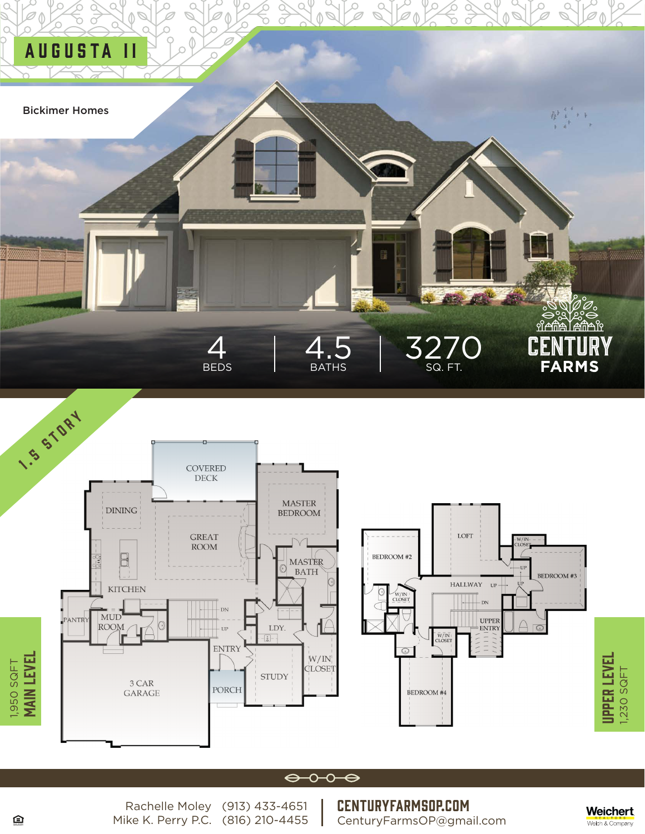



### $\leftrightarrow \circ \bullet \Leftrightarrow$

Rachelle Moley (913) 433-4651 Mike K. Perry P.C. (816) 210-4455 CenturyFarmsOP.com CenturyFarmsOP@gmail.com